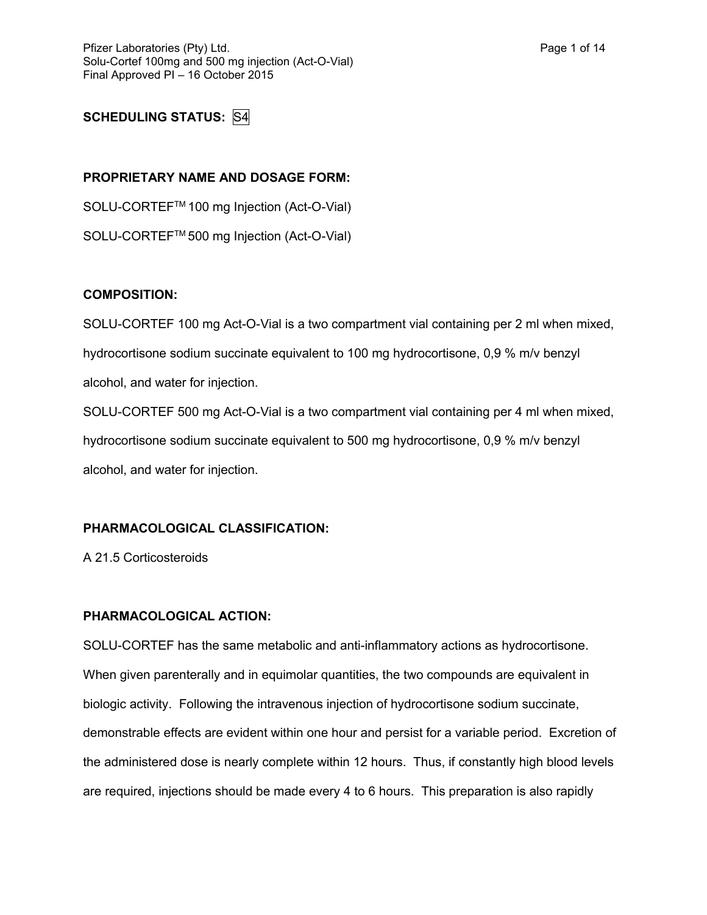# **SCHEDULING STATUS:** S4

#### **PROPRIETARY NAME AND DOSAGE FORM:**

SOLU-CORTEFTM 100 mg Injection (Act-O-Vial) SOLU-CORTEFTM 500 mg Injection (Act-O-Vial)

#### **COMPOSITION:**

SOLU-CORTEF 100 mg Act-O-Vial is a two compartment vial containing per 2 ml when mixed, hydrocortisone sodium succinate equivalent to 100 mg hydrocortisone, 0,9 % m/v benzyl alcohol, and water for injection.

SOLU-CORTEF 500 mg Act-O-Vial is a two compartment vial containing per 4 ml when mixed, hydrocortisone sodium succinate equivalent to 500 mg hydrocortisone, 0,9 % m/v benzyl alcohol, and water for injection.

## **PHARMACOLOGICAL CLASSIFICATION:**

A 21.5 Corticosteroids

## **PHARMACOLOGICAL ACTION:**

SOLU-CORTEF has the same metabolic and anti-inflammatory actions as hydrocortisone. When given parenterally and in equimolar quantities, the two compounds are equivalent in biologic activity. Following the intravenous injection of hydrocortisone sodium succinate, demonstrable effects are evident within one hour and persist for a variable period. Excretion of the administered dose is nearly complete within 12 hours. Thus, if constantly high blood levels are required, injections should be made every 4 to 6 hours. This preparation is also rapidly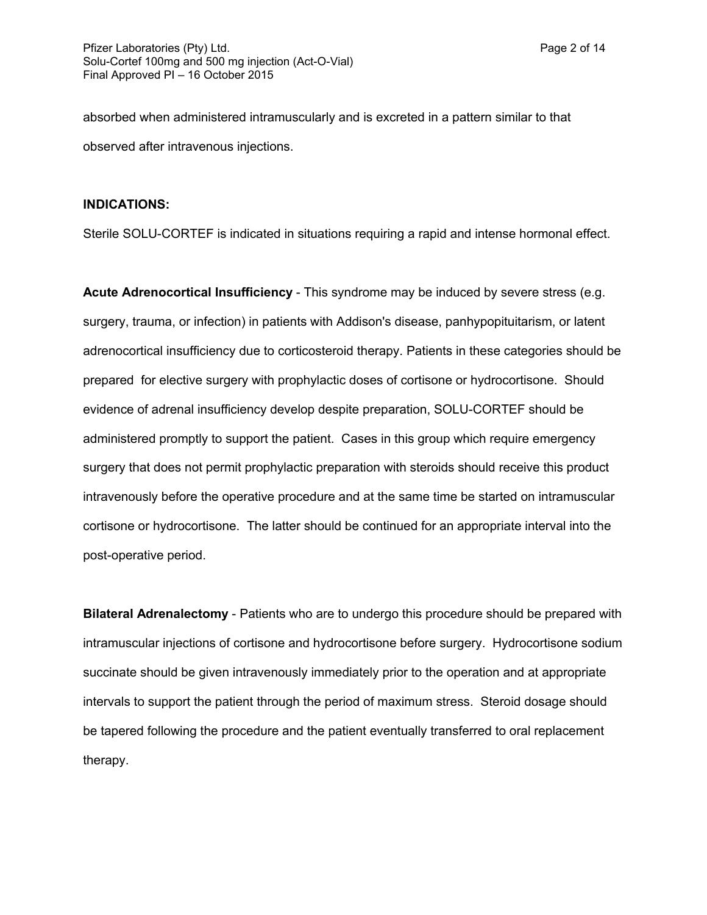absorbed when administered intramuscularly and is excreted in a pattern similar to that observed after intravenous injections.

#### **INDICATIONS:**

Sterile SOLU-CORTEF is indicated in situations requiring a rapid and intense hormonal effect.

**Acute Adrenocortical Insufficiency** - This syndrome may be induced by severe stress (e.g. surgery, trauma, or infection) in patients with Addison's disease, panhypopituitarism, or latent adrenocortical insufficiency due to corticosteroid therapy. Patients in these categories should be prepared for elective surgery with prophylactic doses of cortisone or hydrocortisone. Should evidence of adrenal insufficiency develop despite preparation, SOLU-CORTEF should be administered promptly to support the patient. Cases in this group which require emergency surgery that does not permit prophylactic preparation with steroids should receive this product intravenously before the operative procedure and at the same time be started on intramuscular cortisone or hydrocortisone. The latter should be continued for an appropriate interval into the post-operative period.

**Bilateral Adrenalectomy** - Patients who are to undergo this procedure should be prepared with intramuscular injections of cortisone and hydrocortisone before surgery. Hydrocortisone sodium succinate should be given intravenously immediately prior to the operation and at appropriate intervals to support the patient through the period of maximum stress. Steroid dosage should be tapered following the procedure and the patient eventually transferred to oral replacement therapy.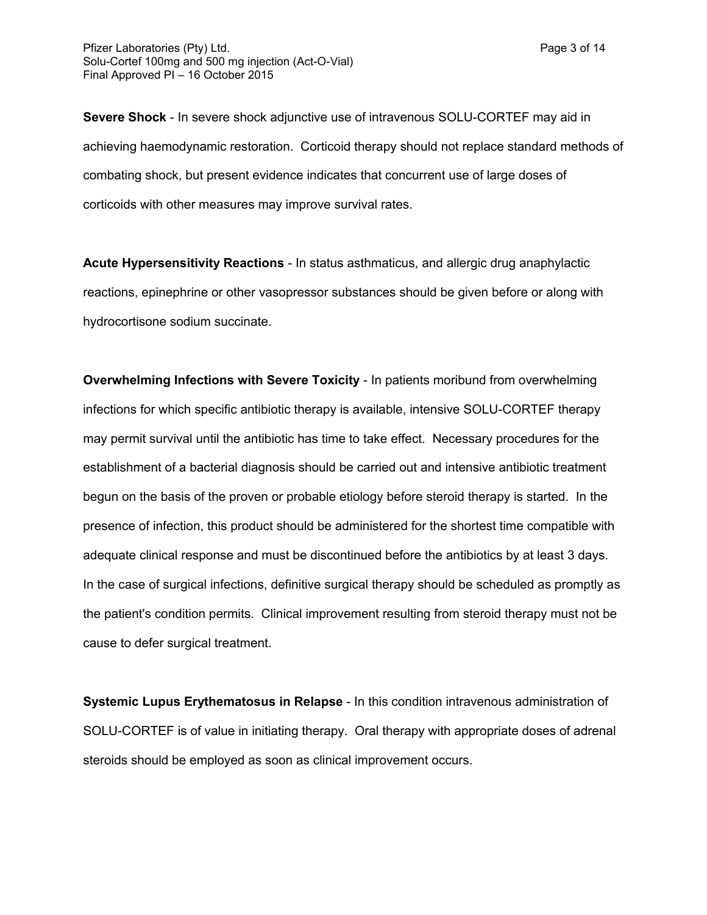**Severe Shock** - In severe shock adjunctive use of intravenous SOLU-CORTEF may aid in achieving haemodynamic restoration. Corticoid therapy should not replace standard methods of combating shock, but present evidence indicates that concurrent use of large doses of corticoids with other measures may improve survival rates.

**Acute Hypersensitivity Reactions** - In status asthmaticus, and allergic drug anaphylactic reactions, epinephrine or other vasopressor substances should be given before or along with hydrocortisone sodium succinate.

**Overwhelming Infections with Severe Toxicity** - In patients moribund from overwhelming infections for which specific antibiotic therapy is available, intensive SOLU-CORTEF therapy may permit survival until the antibiotic has time to take effect. Necessary procedures for the establishment of a bacterial diagnosis should be carried out and intensive antibiotic treatment begun on the basis of the proven or probable etiology before steroid therapy is started. In the presence of infection, this product should be administered for the shortest time compatible with adequate clinical response and must be discontinued before the antibiotics by at least 3 days. In the case of surgical infections, definitive surgical therapy should be scheduled as promptly as the patient's condition permits. Clinical improvement resulting from steroid therapy must not be cause to defer surgical treatment.

**Systemic Lupus Erythematosus in Relapse** - In this condition intravenous administration of SOLU-CORTEF is of value in initiating therapy. Oral therapy with appropriate doses of adrenal steroids should be employed as soon as clinical improvement occurs.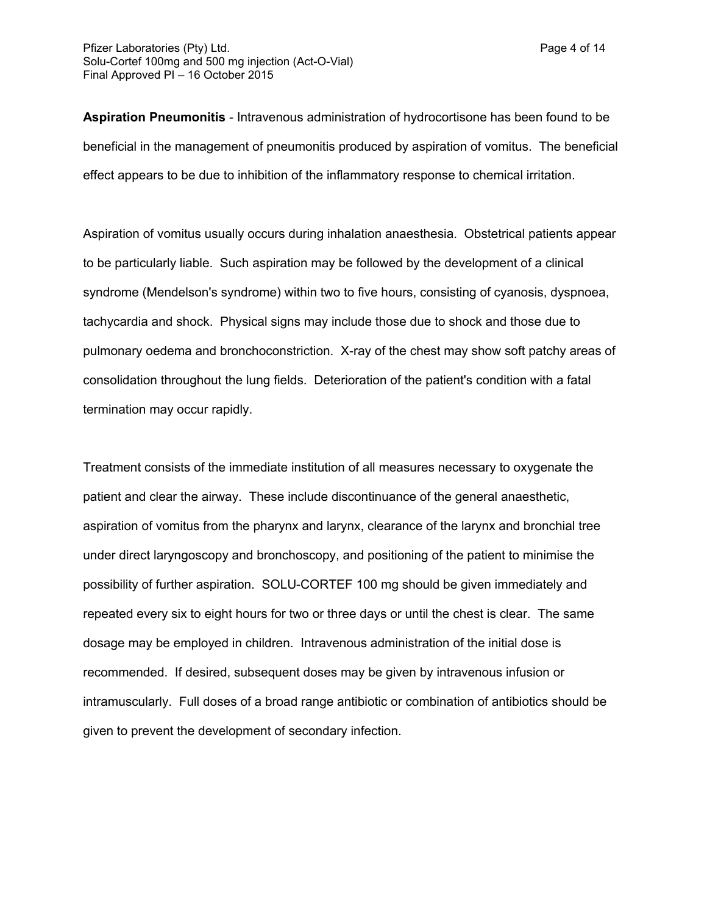**Aspiration Pneumonitis** - Intravenous administration of hydrocortisone has been found to be beneficial in the management of pneumonitis produced by aspiration of vomitus. The beneficial effect appears to be due to inhibition of the inflammatory response to chemical irritation.

Aspiration of vomitus usually occurs during inhalation anaesthesia. Obstetrical patients appear to be particularly liable. Such aspiration may be followed by the development of a clinical syndrome (Mendelson's syndrome) within two to five hours, consisting of cyanosis, dyspnoea, tachycardia and shock. Physical signs may include those due to shock and those due to pulmonary oedema and bronchoconstriction. X-ray of the chest may show soft patchy areas of consolidation throughout the lung fields. Deterioration of the patient's condition with a fatal termination may occur rapidly.

Treatment consists of the immediate institution of all measures necessary to oxygenate the patient and clear the airway. These include discontinuance of the general anaesthetic, aspiration of vomitus from the pharynx and larynx, clearance of the larynx and bronchial tree under direct laryngoscopy and bronchoscopy, and positioning of the patient to minimise the possibility of further aspiration. SOLU-CORTEF 100 mg should be given immediately and repeated every six to eight hours for two or three days or until the chest is clear. The same dosage may be employed in children. Intravenous administration of the initial dose is recommended. If desired, subsequent doses may be given by intravenous infusion or intramuscularly. Full doses of a broad range antibiotic or combination of antibiotics should be given to prevent the development of secondary infection.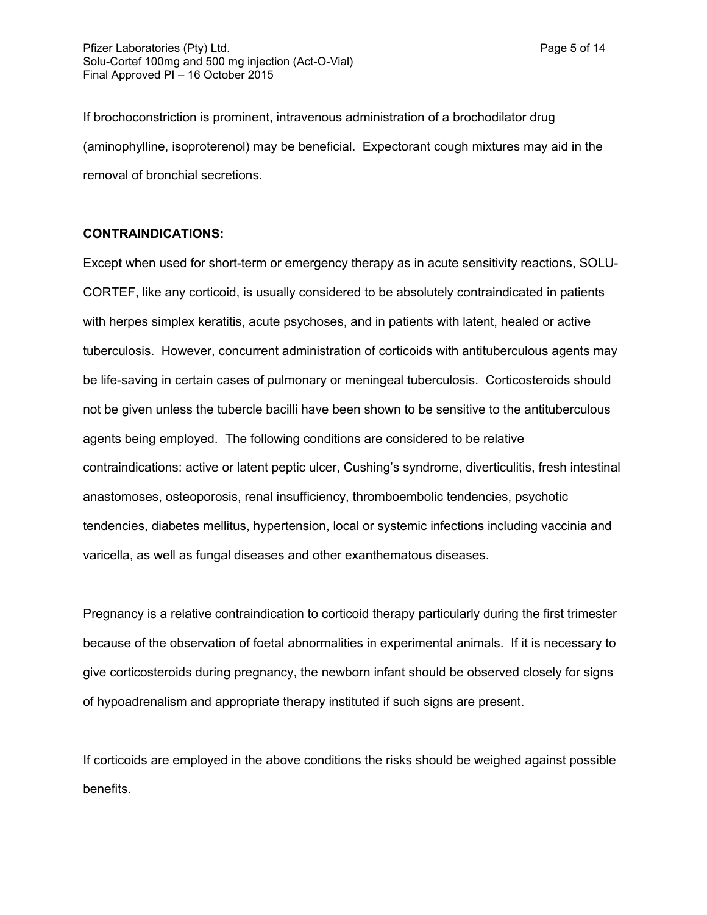If brochoconstriction is prominent, intravenous administration of a brochodilator drug (aminophylline, isoproterenol) may be beneficial. Expectorant cough mixtures may aid in the removal of bronchial secretions.

#### **CONTRAINDICATIONS:**

Except when used for short-term or emergency therapy as in acute sensitivity reactions, SOLU-CORTEF, like any corticoid, is usually considered to be absolutely contraindicated in patients with herpes simplex keratitis, acute psychoses, and in patients with latent, healed or active tuberculosis. However, concurrent administration of corticoids with antituberculous agents may be life-saving in certain cases of pulmonary or meningeal tuberculosis. Corticosteroids should not be given unless the tubercle bacilli have been shown to be sensitive to the antituberculous agents being employed. The following conditions are considered to be relative contraindications: active or latent peptic ulcer, Cushing's syndrome, diverticulitis, fresh intestinal anastomoses, osteoporosis, renal insufficiency, thromboembolic tendencies, psychotic tendencies, diabetes mellitus, hypertension, local or systemic infections including vaccinia and varicella, as well as fungal diseases and other exanthematous diseases.

Pregnancy is a relative contraindication to corticoid therapy particularly during the first trimester because of the observation of foetal abnormalities in experimental animals. If it is necessary to give corticosteroids during pregnancy, the newborn infant should be observed closely for signs of hypoadrenalism and appropriate therapy instituted if such signs are present.

If corticoids are employed in the above conditions the risks should be weighed against possible benefits.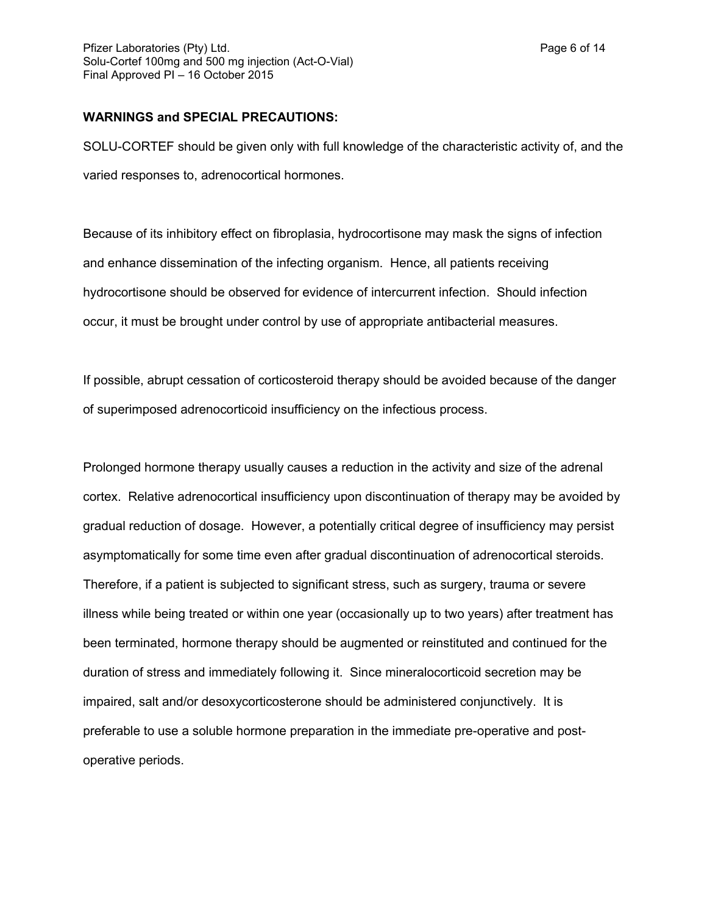#### **WARNINGS and SPECIAL PRECAUTIONS:**

SOLU-CORTEF should be given only with full knowledge of the characteristic activity of, and the varied responses to, adrenocortical hormones.

Because of its inhibitory effect on fibroplasia, hydrocortisone may mask the signs of infection and enhance dissemination of the infecting organism. Hence, all patients receiving hydrocortisone should be observed for evidence of intercurrent infection. Should infection occur, it must be brought under control by use of appropriate antibacterial measures.

If possible, abrupt cessation of corticosteroid therapy should be avoided because of the danger of superimposed adrenocorticoid insufficiency on the infectious process.

Prolonged hormone therapy usually causes a reduction in the activity and size of the adrenal cortex. Relative adrenocortical insufficiency upon discontinuation of therapy may be avoided by gradual reduction of dosage. However, a potentially critical degree of insufficiency may persist asymptomatically for some time even after gradual discontinuation of adrenocortical steroids. Therefore, if a patient is subjected to significant stress, such as surgery, trauma or severe illness while being treated or within one year (occasionally up to two years) after treatment has been terminated, hormone therapy should be augmented or reinstituted and continued for the duration of stress and immediately following it. Since mineralocorticoid secretion may be impaired, salt and/or desoxycorticosterone should be administered conjunctively. It is preferable to use a soluble hormone preparation in the immediate pre-operative and postoperative periods.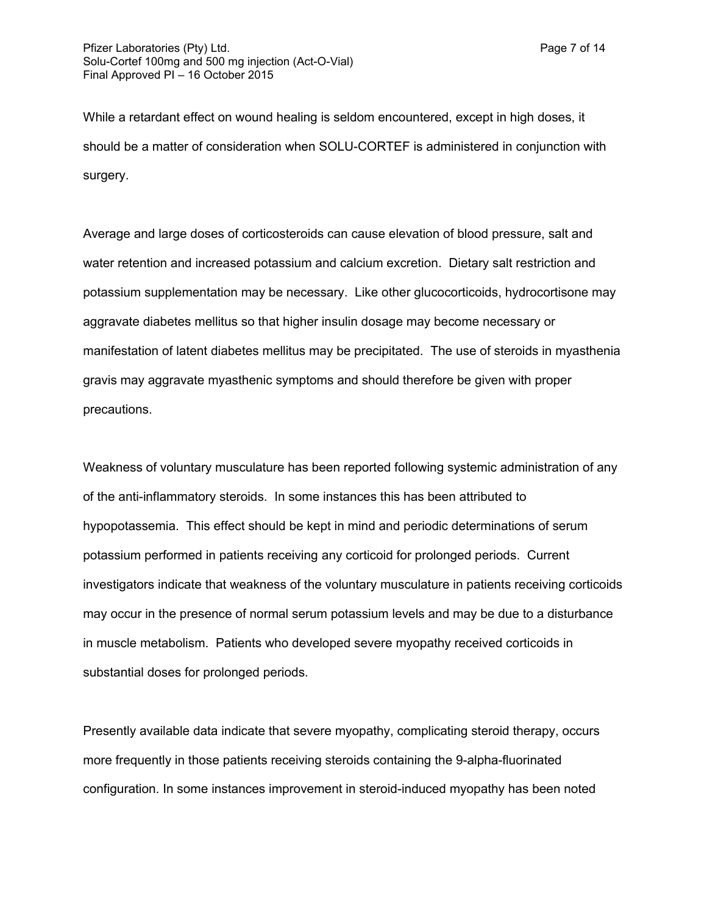While a retardant effect on wound healing is seldom encountered, except in high doses, it should be a matter of consideration when SOLU-CORTEF is administered in conjunction with surgery.

Average and large doses of corticosteroids can cause elevation of blood pressure, salt and water retention and increased potassium and calcium excretion. Dietary salt restriction and potassium supplementation may be necessary. Like other glucocorticoids, hydrocortisone may aggravate diabetes mellitus so that higher insulin dosage may become necessary or manifestation of latent diabetes mellitus may be precipitated. The use of steroids in myasthenia gravis may aggravate myasthenic symptoms and should therefore be given with proper precautions.

Weakness of voluntary musculature has been reported following systemic administration of any of the anti-inflammatory steroids. In some instances this has been attributed to hypopotassemia. This effect should be kept in mind and periodic determinations of serum potassium performed in patients receiving any corticoid for prolonged periods. Current investigators indicate that weakness of the voluntary musculature in patients receiving corticoids may occur in the presence of normal serum potassium levels and may be due to a disturbance in muscle metabolism. Patients who developed severe myopathy received corticoids in substantial doses for prolonged periods.

Presently available data indicate that severe myopathy, complicating steroid therapy, occurs more frequently in those patients receiving steroids containing the 9-alpha-fluorinated configuration. In some instances improvement in steroid-induced myopathy has been noted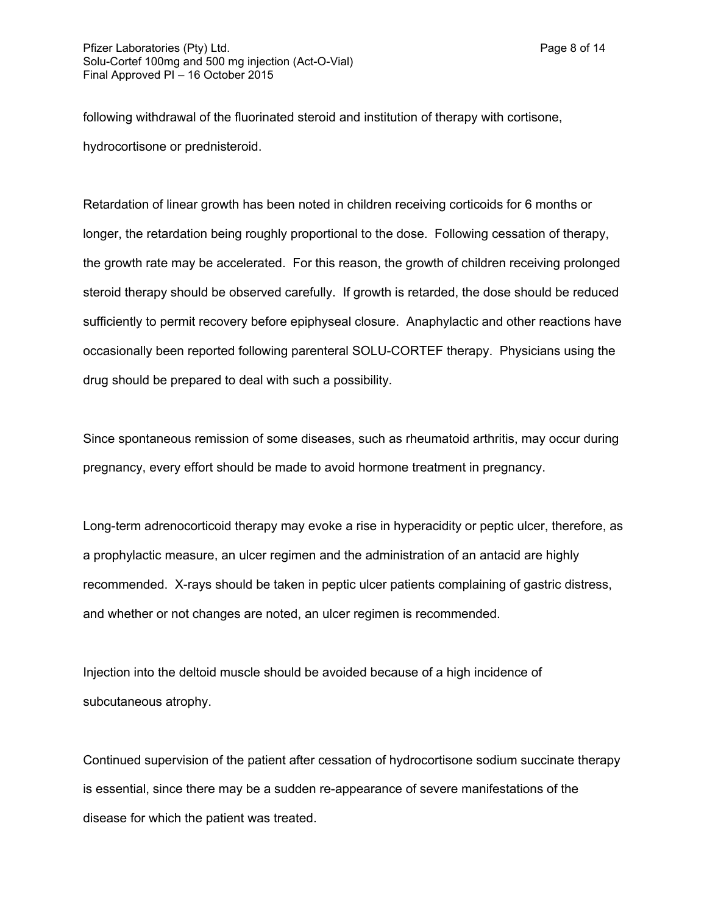following withdrawal of the fluorinated steroid and institution of therapy with cortisone, hydrocortisone or prednisteroid.

Retardation of linear growth has been noted in children receiving corticoids for 6 months or longer, the retardation being roughly proportional to the dose. Following cessation of therapy, the growth rate may be accelerated. For this reason, the growth of children receiving prolonged steroid therapy should be observed carefully. If growth is retarded, the dose should be reduced sufficiently to permit recovery before epiphyseal closure. Anaphylactic and other reactions have occasionally been reported following parenteral SOLU-CORTEF therapy. Physicians using the drug should be prepared to deal with such a possibility.

Since spontaneous remission of some diseases, such as rheumatoid arthritis, may occur during pregnancy, every effort should be made to avoid hormone treatment in pregnancy.

Long-term adrenocorticoid therapy may evoke a rise in hyperacidity or peptic ulcer, therefore, as a prophylactic measure, an ulcer regimen and the administration of an antacid are highly recommended. X-rays should be taken in peptic ulcer patients complaining of gastric distress, and whether or not changes are noted, an ulcer regimen is recommended.

Injection into the deltoid muscle should be avoided because of a high incidence of subcutaneous atrophy.

Continued supervision of the patient after cessation of hydrocortisone sodium succinate therapy is essential, since there may be a sudden re-appearance of severe manifestations of the disease for which the patient was treated.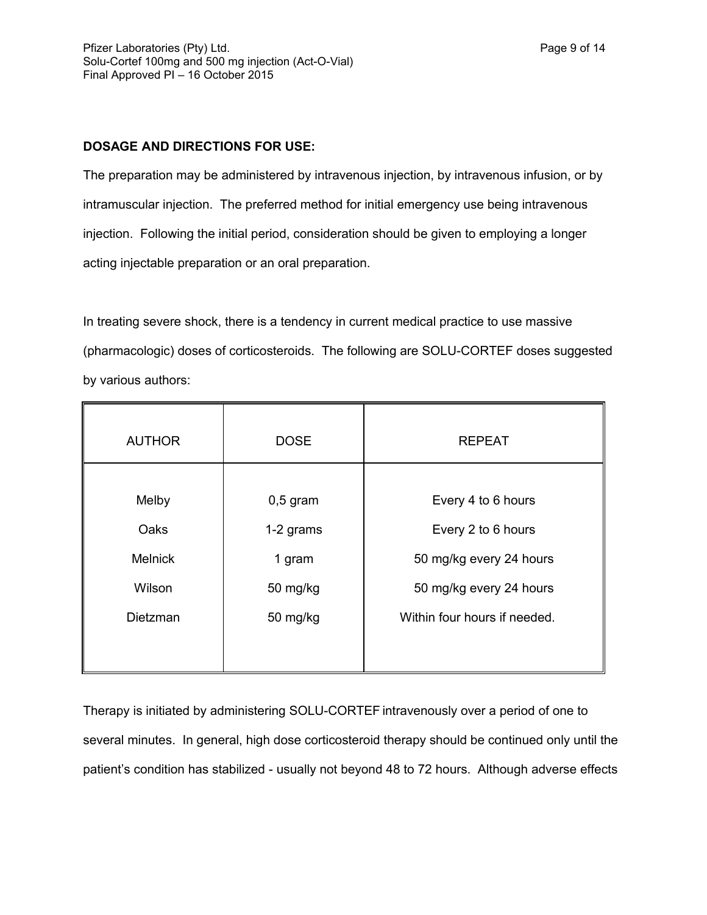## **DOSAGE AND DIRECTIONS FOR USE:**

The preparation may be administered by intravenous injection, by intravenous infusion, or by intramuscular injection. The preferred method for initial emergency use being intravenous injection. Following the initial period, consideration should be given to employing a longer acting injectable preparation or an oral preparation.

In treating severe shock, there is a tendency in current medical practice to use massive (pharmacologic) doses of corticosteroids. The following are SOLU-CORTEF doses suggested by various authors:

| <b>AUTHOR</b>  | <b>DOSE</b> | <b>REPEAT</b>                |
|----------------|-------------|------------------------------|
| Melby          | $0,5$ gram  | Every 4 to 6 hours           |
| Oaks           | 1-2 grams   | Every 2 to 6 hours           |
| <b>Melnick</b> | 1 gram      | 50 mg/kg every 24 hours      |
| Wilson         | 50 mg/kg    | 50 mg/kg every 24 hours      |
| Dietzman       | 50 mg/kg    | Within four hours if needed. |
|                |             |                              |

Therapy is initiated by administering SOLU-CORTEF intravenously over a period of one to several minutes. In general, high dose corticosteroid therapy should be continued only until the patient's condition has stabilized - usually not beyond 48 to 72 hours. Although adverse effects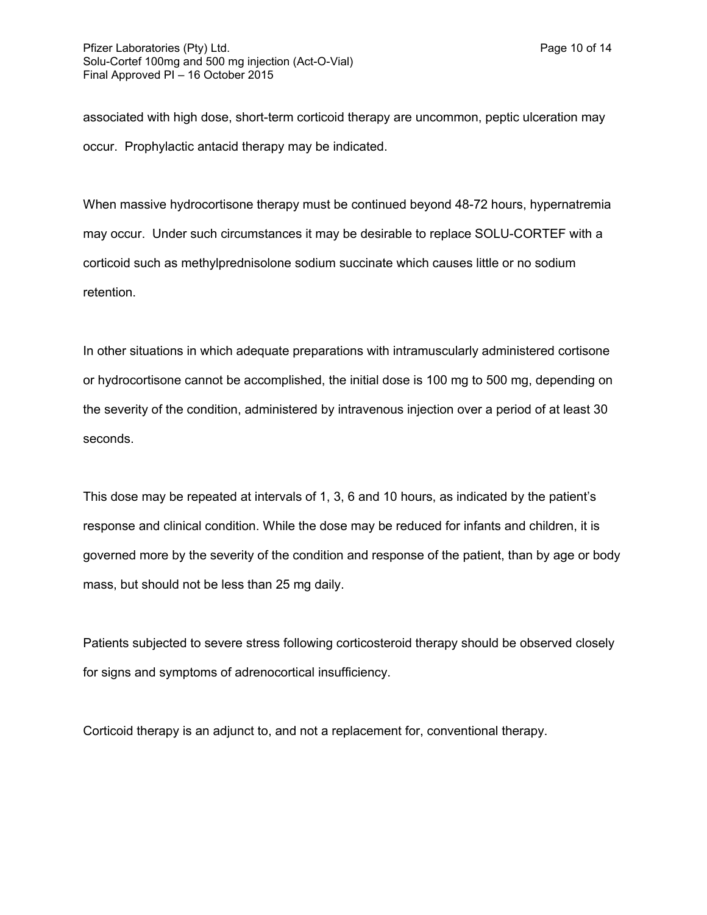associated with high dose, short-term corticoid therapy are uncommon, peptic ulceration may occur. Prophylactic antacid therapy may be indicated.

When massive hydrocortisone therapy must be continued beyond 48-72 hours, hypernatremia may occur. Under such circumstances it may be desirable to replace SOLU-CORTEF with a corticoid such as methylprednisolone sodium succinate which causes little or no sodium retention.

In other situations in which adequate preparations with intramuscularly administered cortisone or hydrocortisone cannot be accomplished, the initial dose is 100 mg to 500 mg, depending on the severity of the condition, administered by intravenous injection over a period of at least 30 seconds.

This dose may be repeated at intervals of 1, 3, 6 and 10 hours, as indicated by the patient's response and clinical condition. While the dose may be reduced for infants and children, it is governed more by the severity of the condition and response of the patient, than by age or body mass, but should not be less than 25 mg daily.

Patients subjected to severe stress following corticosteroid therapy should be observed closely for signs and symptoms of adrenocortical insufficiency.

Corticoid therapy is an adjunct to, and not a replacement for, conventional therapy.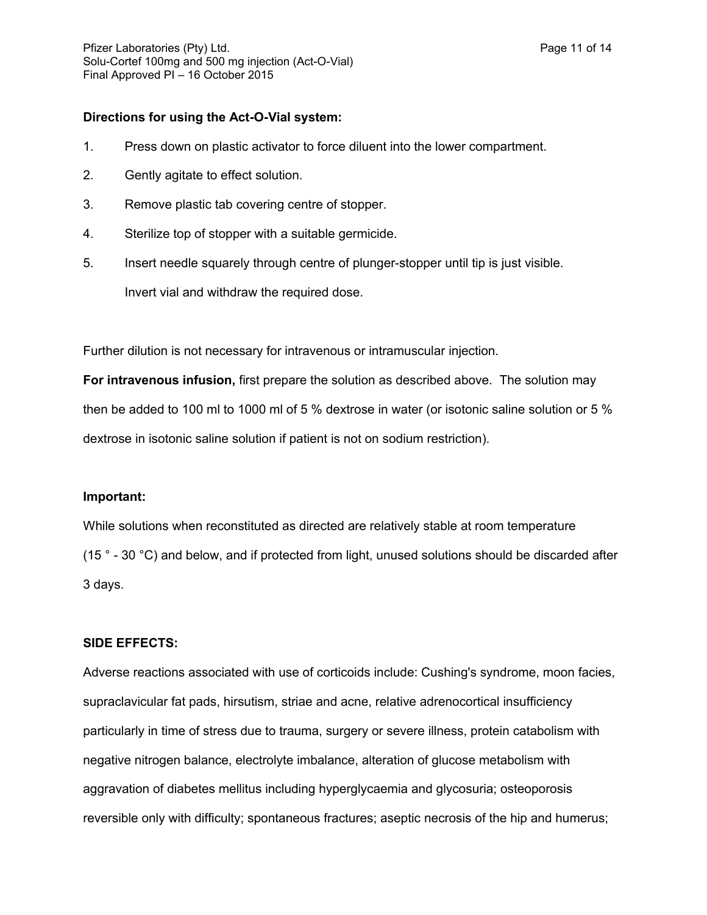#### **Directions for using the Act-O-Vial system:**

- 1. Press down on plastic activator to force diluent into the lower compartment.
- 2. Gently agitate to effect solution.
- 3. Remove plastic tab covering centre of stopper.
- 4. Sterilize top of stopper with a suitable germicide.
- 5. Insert needle squarely through centre of plunger-stopper until tip is just visible.

Invert vial and withdraw the required dose.

Further dilution is not necessary for intravenous or intramuscular injection.

**For intravenous infusion,** first prepare the solution as described above. The solution may then be added to 100 ml to 1000 ml of 5 % dextrose in water (or isotonic saline solution or 5 % dextrose in isotonic saline solution if patient is not on sodium restriction).

#### **Important:**

While solutions when reconstituted as directed are relatively stable at room temperature (15 ° - 30 °C) and below, and if protected from light, unused solutions should be discarded after 3 days.

## **SIDE EFFECTS:**

Adverse reactions associated with use of corticoids include: Cushing's syndrome, moon facies, supraclavicular fat pads, hirsutism, striae and acne, relative adrenocortical insufficiency particularly in time of stress due to trauma, surgery or severe illness, protein catabolism with negative nitrogen balance, electrolyte imbalance, alteration of glucose metabolism with aggravation of diabetes mellitus including hyperglycaemia and glycosuria; osteoporosis reversible only with difficulty; spontaneous fractures; aseptic necrosis of the hip and humerus;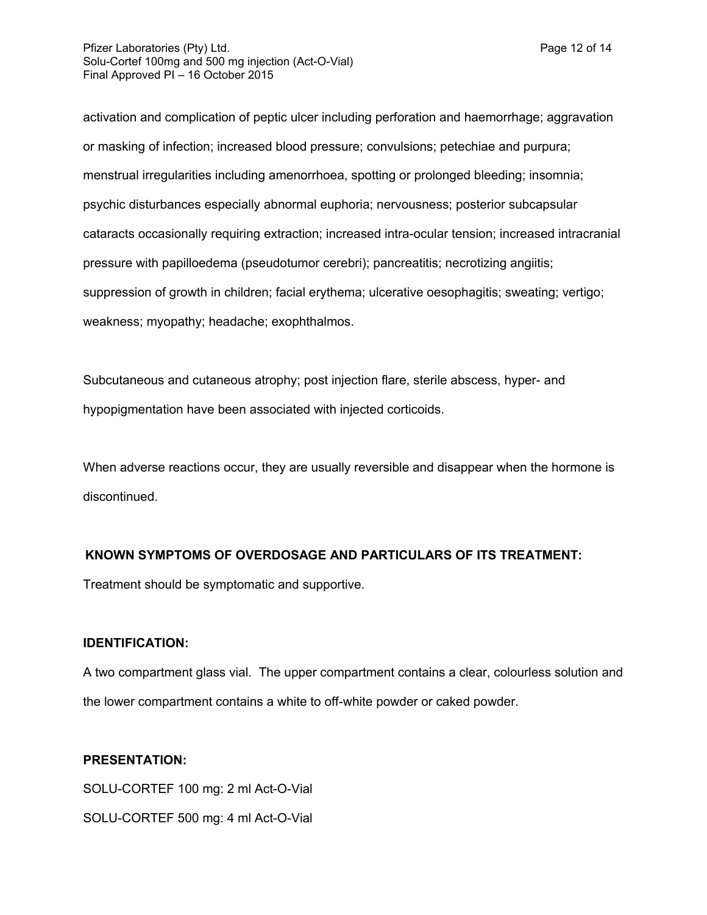activation and complication of peptic ulcer including perforation and haemorrhage; aggravation or masking of infection; increased blood pressure; convulsions; petechiae and purpura; menstrual irregularities including amenorrhoea, spotting or prolonged bleeding; insomnia; psychic disturbances especially abnormal euphoria; nervousness; posterior subcapsular cataracts occasionally requiring extraction; increased intra-ocular tension; increased intracranial pressure with papilloedema (pseudotumor cerebri); pancreatitis; necrotizing angiitis; suppression of growth in children; facial erythema; ulcerative oesophagitis; sweating; vertigo; weakness; myopathy; headache; exophthalmos.

Subcutaneous and cutaneous atrophy; post injection flare, sterile abscess, hyper- and hypopigmentation have been associated with injected corticoids.

When adverse reactions occur, they are usually reversible and disappear when the hormone is discontinued.

## **KNOWN SYMPTOMS OF OVERDOSAGE AND PARTICULARS OF ITS TREATMENT:**

Treatment should be symptomatic and supportive.

## **IDENTIFICATION:**

A two compartment glass vial. The upper compartment contains a clear, colourless solution and the lower compartment contains a white to off-white powder or caked powder.

## **PRESENTATION:**

SOLU-CORTEF 100 mg: 2 ml Act-O-Vial SOLU-CORTEF 500 mg: 4 ml Act-O-Vial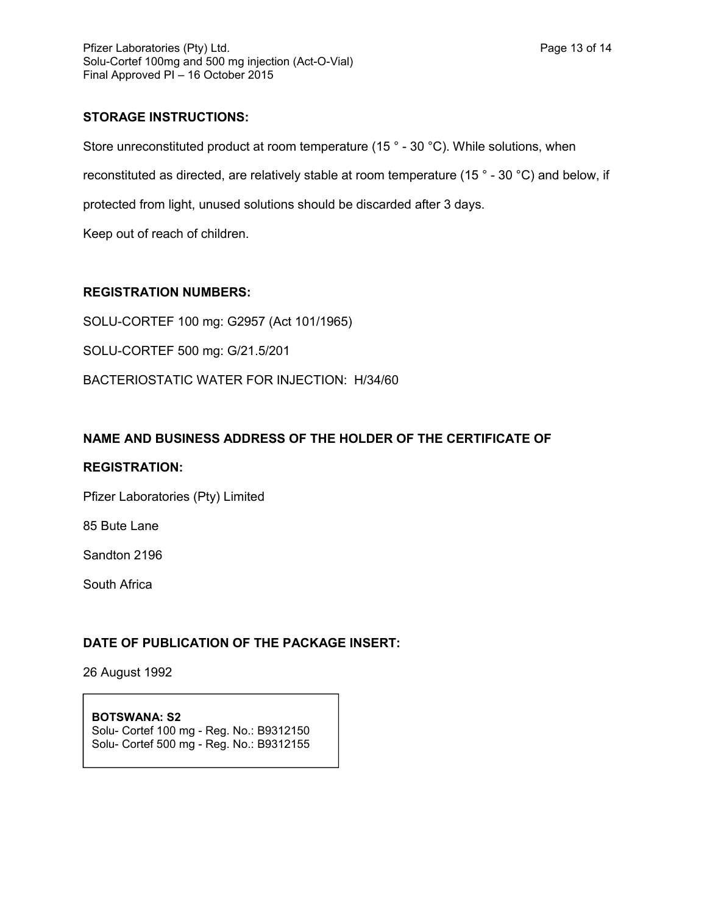## **STORAGE INSTRUCTIONS:**

Store unreconstituted product at room temperature (15<sup>°</sup> - 30<sup>°</sup>C). While solutions, when reconstituted as directed, are relatively stable at room temperature (15 ° - 30 °C) and below, if protected from light, unused solutions should be discarded after 3 days.

Keep out of reach of children.

## **REGISTRATION NUMBERS:**

SOLU-CORTEF 100 mg: G2957 (Act 101/1965)

SOLU-CORTEF 500 mg: G/21.5/201

BACTERIOSTATIC WATER FOR INJECTION: H/34/60

## **NAME AND BUSINESS ADDRESS OF THE HOLDER OF THE CERTIFICATE OF**

## **REGISTRATION:**

Pfizer Laboratories (Pty) Limited

85 Bute Lane

Sandton 2196

South Africa

## **DATE OF PUBLICATION OF THE PACKAGE INSERT:**

26 August 1992

#### **BOTSWANA: S2** Solu- Cortef 100 mg - Reg. No.: B9312150 Solu- Cortef 500 mg - Reg. No.: B9312155